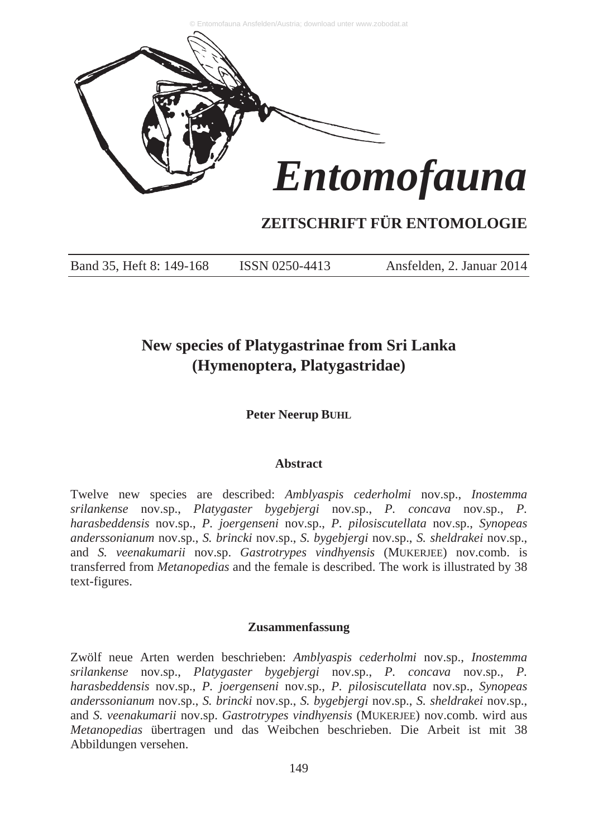

# **ZEITSCHRIFT FÜR ENTOMOLOGIE**

Band 35, Heft 8: 149-168 ISSN 0250-4413 Ansfelden, 2. Januar 2014

# **New species of Platygastrinae from Sri Lanka (Hymenoptera, Platygastridae)**

**Peter Neerup BUHL**

# **Abstract**

Twelve new species are described: *Amblyaspis cederholmi* nov.sp., *Inostemma srilankense* nov.sp., *Platygaster bygebjergi* nov.sp., *P. concava* nov.sp., *P. harasbeddensis* nov.sp., *P. joergenseni* nov.sp., *P. pilosiscutellata* nov.sp., *Synopeas anderssonianum* nov.sp., *S. brincki* nov.sp., *S. bygebjergi* nov.sp., *S. sheldrakei* nov.sp., and *S. veenakumarii* nov.sp. *Gastrotrypes vindhyensis* (MUKERJEE) nov.comb. is transferred from *Metanopedias* and the female is described. The work is illustrated by 38 text-figures.

#### **Zusammenfassung**

Zwölf neue Arten werden beschrieben: *Amblyaspis cederholmi* nov.sp., *Inostemma srilankense* nov.sp., *Platygaster bygebjergi* nov.sp., *P. concava* nov.sp., *P. harasbeddensis* nov.sp., *P. joergenseni* nov.sp., *P. pilosiscutellata* nov.sp., *Synopeas anderssonianum* nov.sp., *S. brincki* nov.sp., *S. bygebjergi* nov.sp., *S. sheldrakei* nov.sp., and *S. veenakumarii* nov.sp. *Gastrotrypes vindhyensis* (MUKERJEE) nov.comb. wird aus *Metanopedias* übertragen und das Weibchen beschrieben. Die Arbeit ist mit 38 Abbildungen versehen.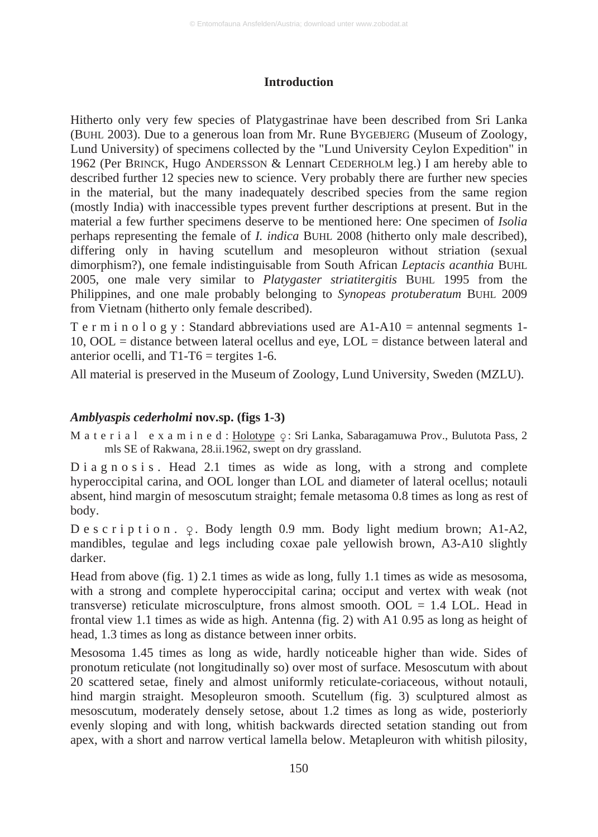# **Introduction**

Hitherto only very few species of Platygastrinae have been described from Sri Lanka (BUHL 2003). Due to a generous loan from Mr. Rune BYGEBJERG (Museum of Zoology, Lund University) of specimens collected by the "Lund University Ceylon Expedition" in 1962 (Per BRINCK, Hugo ANDERSSON & Lennart CEDERHOLM leg.) I am hereby able to described further 12 species new to science. Very probably there are further new species in the material, but the many inadequately described species from the same region (mostly India) with inaccessible types prevent further descriptions at present. But in the material a few further specimens deserve to be mentioned here: One specimen of *Isolia* perhaps representing the female of *I. indica* BUHL 2008 (hitherto only male described), differing only in having scutellum and mesopleuron without striation (sexual dimorphism?), one female indistinguisable from South African *Leptacis acanthia* BUHL 2005, one male very similar to *Platygaster striatitergitis* BUHL 1995 from the Philippines, and one male probably belonging to *Synopeas protuberatum* BUHL 2009 from Vietnam (hitherto only female described).

T e r m i n o l o g y : Standard abbreviations used are  $A1-A10$  = antennal segments 1-10, OOL = distance between lateral ocellus and eye, LOL = distance between lateral and anterior ocelli, and  $T1-T6$  = tergites 1-6.

All material is preserved in the Museum of Zoology, Lund University, Sweden (MZLU).

# *Amblyaspis cederholmi* **nov.sp. (figs 1-3)**

M a t e r i a l  $\,$  e x a m i n e d : <u>Holotype</u>  $\varphi \colon S$ ri Lanka, Sabaragamuwa Prov., Bulutota Pass, 2 mls SE of Rakwana, 28.ii.1962, swept on dry grassland.

D i a g n o s i s . Head 2.1 times as wide as long, with a strong and complete hyperoccipital carina, and OOL longer than LOL and diameter of lateral ocellus; notauli absent, hind margin of mesoscutum straight; female metasoma 0.8 times as long as rest of body.

 $D e s c r i p t i o n.$   $Q.$  Body length 0.9 mm. Body light medium brown; A1-A2, mandibles, tegulae and legs including coxae pale yellowish brown, A3-A10 slightly darker.

Head from above (fig. 1) 2.1 times as wide as long, fully 1.1 times as wide as mesosoma, with a strong and complete hyperoccipital carina; occiput and vertex with weak (not transverse) reticulate microsculpture, frons almost smooth.  $OOL = 1.4$  LOL. Head in frontal view 1.1 times as wide as high. Antenna (fig. 2) with A1 0.95 as long as height of head, 1.3 times as long as distance between inner orbits.

Mesosoma 1.45 times as long as wide, hardly noticeable higher than wide. Sides of pronotum reticulate (not longitudinally so) over most of surface. Mesoscutum with about 20 scattered setae, finely and almost uniformly reticulate-coriaceous, without notauli, hind margin straight. Mesopleuron smooth. Scutellum (fig. 3) sculptured almost as mesoscutum, moderately densely setose, about 1.2 times as long as wide, posteriorly evenly sloping and with long, whitish backwards directed setation standing out from apex, with a short and narrow vertical lamella below. Metapleuron with whitish pilosity,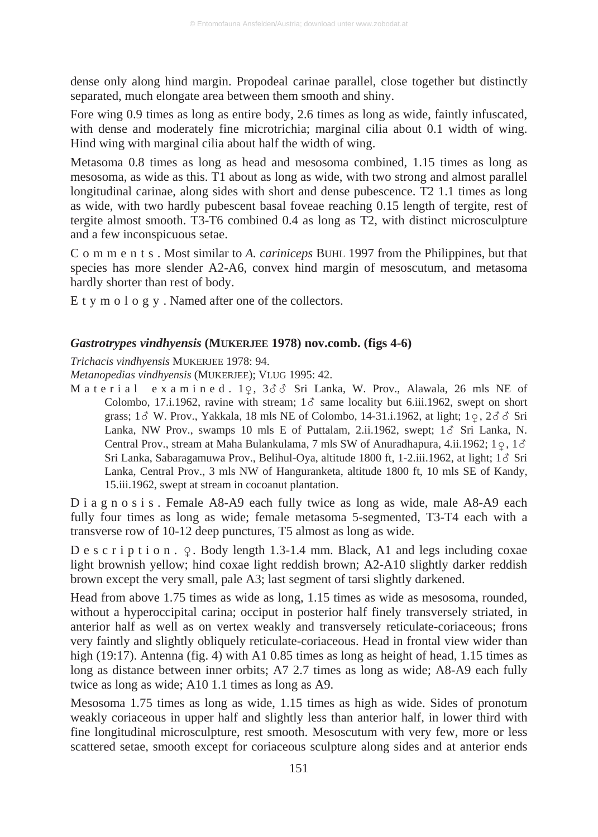dense only along hind margin. Propodeal carinae parallel, close together but distinctly separated, much elongate area between them smooth and shiny.

Fore wing 0.9 times as long as entire body, 2.6 times as long as wide, faintly infuscated, with dense and moderately fine microtrichia; marginal cilia about 0.1 width of wing. Hind wing with marginal cilia about half the width of wing.

Metasoma 0.8 times as long as head and mesosoma combined, 1.15 times as long as mesosoma, as wide as this. T1 about as long as wide, with two strong and almost parallel longitudinal carinae, along sides with short and dense pubescence. T2 1.1 times as long as wide, with two hardly pubescent basal foveae reaching 0.15 length of tergite, rest of tergite almost smooth. T3-T6 combined 0.4 as long as T2, with distinct microsculpture and a few inconspicuous setae.

C o m m e n t s . Most similar to *A. cariniceps* BUHL 1997 from the Philippines, but that species has more slender A2-A6, convex hind margin of mesoscutum, and metasoma hardly shorter than rest of body.

E t y m o l o g y . Named after one of the collectors.

## *Gastrotrypes vindhyensis* **(MUKERJEE 1978) nov.comb. (figs 4-6)**

*Trichacis vindhyensis* MUKERJEE 1978: 94.

*Metanopedias vindhyensis* (MUKERJEE); VLUG 1995: 42.

M a t e r i a l e x a m i n e d .  $1\varphi$ ,  $3\delta\delta$  Sri Lanka, W. Prov., Alawala, 26 mls NE of Colombo, 17.i.1962, ravine with stream;  $1\delta$  same locality but 6.iii.1962, swept on short grass; 1 $\delta$  W. Prov., Yakkala, 18 mls NE of Colombo, 14-31.i.1962, at light; 1 $\varphi$ , 2 $\delta$  $\delta$  Sri Lanka, NW Prov., swamps 10 mls E of Puttalam, 2.ii.1962, swept;  $1\delta$  Sri Lanka, N. Central Prov., stream at Maha Bulankulama, 7 mls SW of Anuradhapura, 4.ii.1962;  $1\varphi$ ,  $1\delta$ Sri Lanka, Sabaragamuwa Prov., Belihul-Oya, altitude 1800 ft, 1-2.iii.1962, at light; 18 Sri Lanka, Central Prov., 3 mls NW of Hanguranketa, altitude 1800 ft, 10 mls SE of Kandy, 15.iii.1962, swept at stream in cocoanut plantation.

D i a g n o s i s. Female A8-A9 each fully twice as long as wide, male A8-A9 each fully four times as long as wide; female metasoma 5-segmented, T3-T4 each with a transverse row of 10-12 deep punctures, T5 almost as long as wide.

 $D$  e s c r i p t i o n .  $\varphi$ . Body length 1.3-1.4 mm. Black, A1 and legs including coxae light brownish yellow; hind coxae light reddish brown; A2-A10 slightly darker reddish brown except the very small, pale A3; last segment of tarsi slightly darkened.

Head from above 1.75 times as wide as long, 1.15 times as wide as mesosoma, rounded, without a hyperoccipital carina; occiput in posterior half finely transversely striated, in anterior half as well as on vertex weakly and transversely reticulate-coriaceous; frons very faintly and slightly obliquely reticulate-coriaceous. Head in frontal view wider than high (19:17). Antenna (fig. 4) with A1 0.85 times as long as height of head, 1.15 times as long as distance between inner orbits; A7 2.7 times as long as wide; A8-A9 each fully twice as long as wide; A10 1.1 times as long as A9.

Mesosoma 1.75 times as long as wide, 1.15 times as high as wide. Sides of pronotum weakly coriaceous in upper half and slightly less than anterior half, in lower third with fine longitudinal microsculpture, rest smooth. Mesoscutum with very few, more or less scattered setae, smooth except for coriaceous sculpture along sides and at anterior ends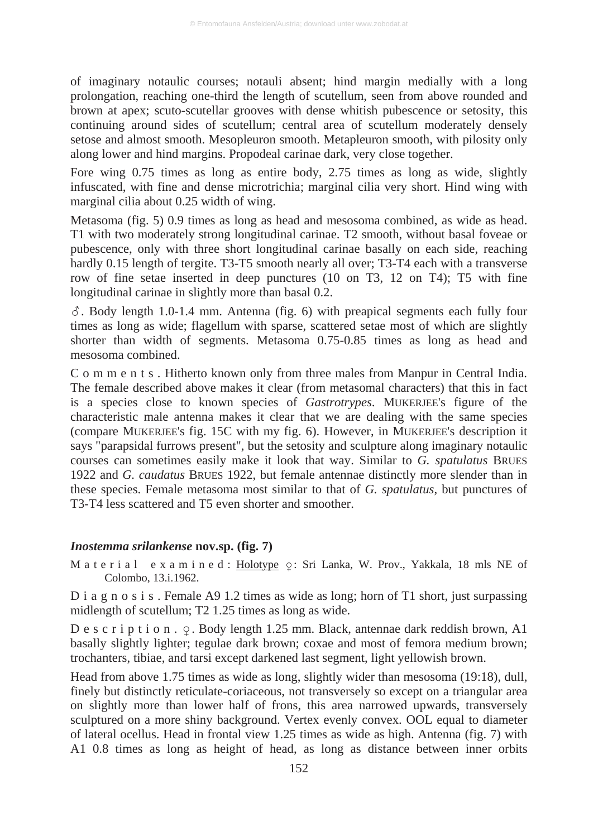of imaginary notaulic courses; notauli absent; hind margin medially with a long prolongation, reaching one-third the length of scutellum, seen from above rounded and brown at apex; scuto-scutellar grooves with dense whitish pubescence or setosity, this continuing around sides of scutellum; central area of scutellum moderately densely setose and almost smooth. Mesopleuron smooth. Metapleuron smooth, with pilosity only along lower and hind margins. Propodeal carinae dark, very close together.

Fore wing 0.75 times as long as entire body, 2.75 times as long as wide, slightly infuscated, with fine and dense microtrichia; marginal cilia very short. Hind wing with marginal cilia about 0.25 width of wing.

Metasoma (fig. 5) 0.9 times as long as head and mesosoma combined, as wide as head. T1 with two moderately strong longitudinal carinae. T2 smooth, without basal foveae or pubescence, only with three short longitudinal carinae basally on each side, reaching hardly 0.15 length of tergite. T3-T5 smooth nearly all over; T3-T4 each with a transverse row of fine setae inserted in deep punctures (10 on T3, 12 on T4); T5 with fine longitudinal carinae in slightly more than basal 0.2.

 $\delta$ . Body length 1.0-1.4 mm. Antenna (fig. 6) with preapical segments each fully four times as long as wide; flagellum with sparse, scattered setae most of which are slightly shorter than width of segments. Metasoma 0.75-0.85 times as long as head and mesosoma combined.

C o m m e n t s . Hitherto known only from three males from Manpur in Central India. The female described above makes it clear (from metasomal characters) that this in fact is a species close to known species of *Gastrotrypes*. MUKERJEE's figure of the characteristic male antenna makes it clear that we are dealing with the same species (compare MUKERJEE's fig. 15C with my fig. 6). However, in MUKERJEE's description it says "parapsidal furrows present", but the setosity and sculpture along imaginary notaulic courses can sometimes easily make it look that way. Similar to *G. spatulatus* BRUES 1922 and *G. caudatus* BRUES 1922, but female antennae distinctly more slender than in these species. Female metasoma most similar to that of *G. spatulatus*, but punctures of T3-T4 less scattered and T5 even shorter and smoother.

#### *Inostemma srilankense* **nov.sp. (fig. 7)**

M a t e r i a l e x a m i n e d : <u>Holotype</u>  $\varphi$ : Sri Lanka, W. Prov., Yakkala, 18 mls NE of Colombo, 13.i.1962.

D i a g n o s i s. Female A9 1.2 times as wide as long; horn of T1 short, just surpassing midlength of scutellum; T2 1.25 times as long as wide.

D e s c r i p t i o n .  $\varphi$ . Body length 1.25 mm. Black, antennae dark reddish brown, A1 basally slightly lighter; tegulae dark brown; coxae and most of femora medium brown; trochanters, tibiae, and tarsi except darkened last segment, light yellowish brown.

Head from above 1.75 times as wide as long, slightly wider than mesosoma (19:18), dull, finely but distinctly reticulate-coriaceous, not transversely so except on a triangular area on slightly more than lower half of frons, this area narrowed upwards, transversely sculptured on a more shiny background. Vertex evenly convex. OOL equal to diameter of lateral ocellus. Head in frontal view 1.25 times as wide as high. Antenna (fig. 7) with A1 0.8 times as long as height of head, as long as distance between inner orbits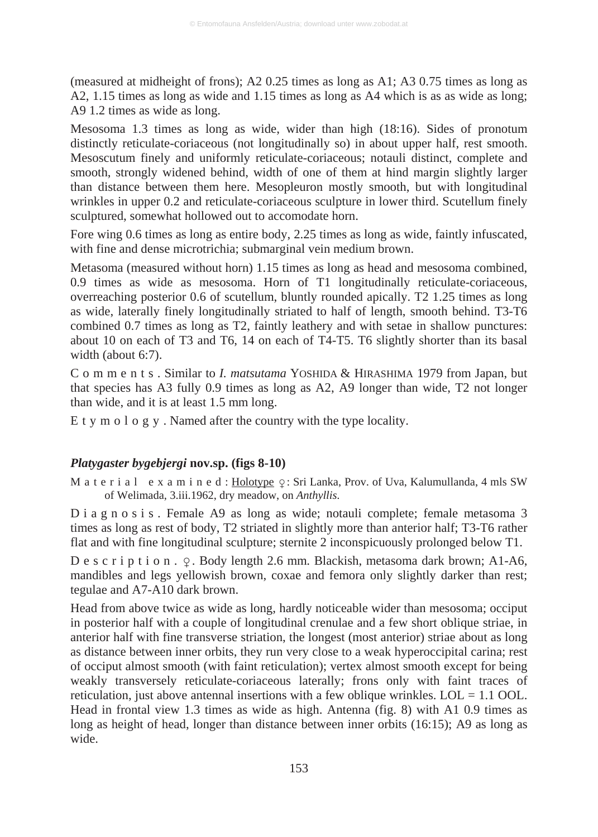(measured at midheight of frons); A2 0.25 times as long as A1; A3 0.75 times as long as A2, 1.15 times as long as wide and 1.15 times as long as A4 which is as as wide as long; A9 1.2 times as wide as long.

Mesosoma 1.3 times as long as wide, wider than high (18:16). Sides of pronotum distinctly reticulate-coriaceous (not longitudinally so) in about upper half, rest smooth. Mesoscutum finely and uniformly reticulate-coriaceous; notauli distinct, complete and smooth, strongly widened behind, width of one of them at hind margin slightly larger than distance between them here. Mesopleuron mostly smooth, but with longitudinal wrinkles in upper 0.2 and reticulate-coriaceous sculpture in lower third. Scutellum finely sculptured, somewhat hollowed out to accomodate horn.

Fore wing 0.6 times as long as entire body, 2.25 times as long as wide, faintly infuscated, with fine and dense microtrichia; submarginal vein medium brown.

Metasoma (measured without horn) 1.15 times as long as head and mesosoma combined, 0.9 times as wide as mesosoma. Horn of T1 longitudinally reticulate-coriaceous, overreaching posterior 0.6 of scutellum, bluntly rounded apically. T2 1.25 times as long as wide, laterally finely longitudinally striated to half of length, smooth behind. T3-T6 combined 0.7 times as long as T2, faintly leathery and with setae in shallow punctures: about 10 on each of T3 and T6, 14 on each of T4-T5. T6 slightly shorter than its basal width (about 6:7).

C o m m e n t s . Similar to *I. matsutama* YOSHIDA & HIRASHIMA 1979 from Japan, but that species has A3 fully 0.9 times as long as A2, A9 longer than wide, T2 not longer than wide, and it is at least 1.5 mm long.

E t y m o l o g y . Named after the country with the type locality.

# *Platygaster bygebjergi* **nov.sp. (figs 8-10)**

M a t e r i a l e x a m i n e d : <u>Holotype</u>  $\varphi$ : Sri Lanka, Prov. of Uva, Kalumullanda, 4 mls SW of Welimada, 3.iii.1962, dry meadow, on *Anthyllis*.

D i a g n o s i s. Female A9 as long as wide; notauli complete; female metasoma 3 times as long as rest of body, T2 striated in slightly more than anterior half; T3-T6 rather flat and with fine longitudinal sculpture; sternite 2 inconspicuously prolonged below T1.

D e s c r i p t i o n .  $\varphi$ . Body length 2.6 mm. Blackish, metasoma dark brown; A1-A6, mandibles and legs yellowish brown, coxae and femora only slightly darker than rest; tegulae and A7-A10 dark brown.

Head from above twice as wide as long, hardly noticeable wider than mesosoma; occiput in posterior half with a couple of longitudinal crenulae and a few short oblique striae, in anterior half with fine transverse striation, the longest (most anterior) striae about as long as distance between inner orbits, they run very close to a weak hyperoccipital carina; rest of occiput almost smooth (with faint reticulation); vertex almost smooth except for being weakly transversely reticulate-coriaceous laterally; frons only with faint traces of reticulation, just above antennal insertions with a few oblique wrinkles.  $LOL = 1.1$  OOL. Head in frontal view 1.3 times as wide as high. Antenna (fig. 8) with A1 0.9 times as long as height of head, longer than distance between inner orbits (16:15); A9 as long as wide.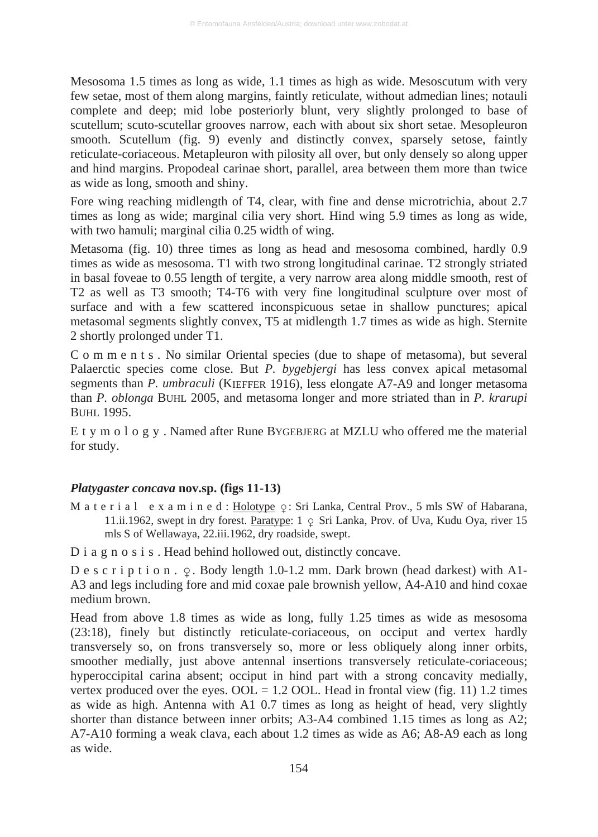Mesosoma 1.5 times as long as wide, 1.1 times as high as wide. Mesoscutum with very few setae, most of them along margins, faintly reticulate, without admedian lines; notauli complete and deep; mid lobe posteriorly blunt, very slightly prolonged to base of scutellum; scuto-scutellar grooves narrow, each with about six short setae. Mesopleuron smooth. Scutellum (fig. 9) evenly and distinctly convex, sparsely setose, faintly reticulate-coriaceous. Metapleuron with pilosity all over, but only densely so along upper and hind margins. Propodeal carinae short, parallel, area between them more than twice as wide as long, smooth and shiny.

Fore wing reaching midlength of T4, clear, with fine and dense microtrichia, about 2.7 times as long as wide; marginal cilia very short. Hind wing 5.9 times as long as wide, with two hamuli; marginal cilia 0.25 width of wing.

Metasoma (fig. 10) three times as long as head and mesosoma combined, hardly 0.9 times as wide as mesosoma. T1 with two strong longitudinal carinae. T2 strongly striated in basal foveae to 0.55 length of tergite, a very narrow area along middle smooth, rest of T2 as well as T3 smooth; T4-T6 with very fine longitudinal sculpture over most of surface and with a few scattered inconspicuous setae in shallow punctures; apical metasomal segments slightly convex, T5 at midlength 1.7 times as wide as high. Sternite 2 shortly prolonged under T1.

C o m m e n t s . No similar Oriental species (due to shape of metasoma), but several Palaerctic species come close. But *P. bygebjergi* has less convex apical metasomal segments than *P. umbraculi* (KIEFFER 1916), less elongate A7-A9 and longer metasoma than *P. oblonga* BUHL 2005, and metasoma longer and more striated than in *P. krarupi* **BUHL 1995.** 

E t y m o l o g y . Named after Rune BYGEBJERG at MZLU who offered me the material for study.

#### *Platygaster concava* **nov.sp. (figs 11-13)**

M a t e r i a l  $\,$  e x a m i n e d : <u>Holotype</u>  $\varphi \colon S$ ri Lanka, Central Prov., 5 mls SW of Habarana, 11.ii.1962, swept in dry forest. **Paratype:**  $1 \circ$  Sri Lanka, Prov. of Uva, Kudu Oya, river 15 mls S of Wellawaya, 22.iii.1962, dry roadside, swept.

D i a g n o s i s . Head behind hollowed out, distinctly concave.

D e s c r i p t i o n .  $\varphi$ . Body length 1.0-1.2 mm. Dark brown (head darkest) with A1-A3 and legs including fore and mid coxae pale brownish yellow, A4-A10 and hind coxae medium brown.

Head from above 1.8 times as wide as long, fully 1.25 times as wide as mesosoma (23:18), finely but distinctly reticulate-coriaceous, on occiput and vertex hardly transversely so, on frons transversely so, more or less obliquely along inner orbits, smoother medially, just above antennal insertions transversely reticulate-coriaceous; hyperoccipital carina absent; occiput in hind part with a strong concavity medially, vertex produced over the eyes.  $OOL = 1.2$  OOL. Head in frontal view (fig. 11) 1.2 times as wide as high. Antenna with A1 0.7 times as long as height of head, very slightly shorter than distance between inner orbits; A3-A4 combined 1.15 times as long as A2; A7-A10 forming a weak clava, each about 1.2 times as wide as A6; A8-A9 each as long as wide.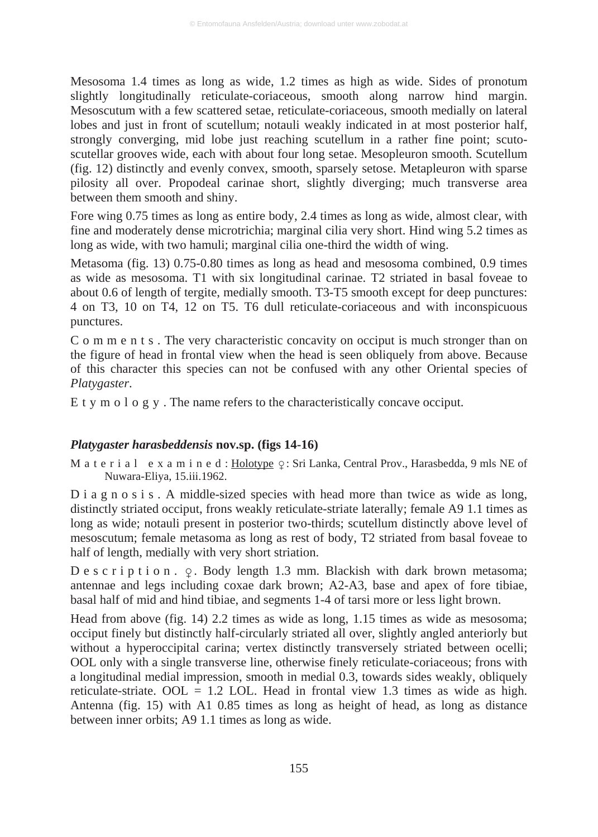Mesosoma 1.4 times as long as wide, 1.2 times as high as wide. Sides of pronotum slightly longitudinally reticulate-coriaceous, smooth along narrow hind margin. Mesoscutum with a few scattered setae, reticulate-coriaceous, smooth medially on lateral lobes and just in front of scutellum; notauli weakly indicated in at most posterior half, strongly converging, mid lobe just reaching scutellum in a rather fine point; scutoscutellar grooves wide, each with about four long setae. Mesopleuron smooth. Scutellum (fig. 12) distinctly and evenly convex, smooth, sparsely setose. Metapleuron with sparse pilosity all over. Propodeal carinae short, slightly diverging; much transverse area between them smooth and shiny.

Fore wing 0.75 times as long as entire body, 2.4 times as long as wide, almost clear, with fine and moderately dense microtrichia; marginal cilia very short. Hind wing 5.2 times as long as wide, with two hamuli; marginal cilia one-third the width of wing.

Metasoma (fig. 13) 0.75-0.80 times as long as head and mesosoma combined, 0.9 times as wide as mesosoma. T1 with six longitudinal carinae. T2 striated in basal foveae to about 0.6 of length of tergite, medially smooth. T3-T5 smooth except for deep punctures: 4 on T3, 10 on T4, 12 on T5. T6 dull reticulate-coriaceous and with inconspicuous punctures.

C o m m e n t s . The very characteristic concavity on occiput is much stronger than on the figure of head in frontal view when the head is seen obliquely from above. Because of this character this species can not be confused with any other Oriental species of *Platygaster*.

E t y m o l o g y . The name refers to the characteristically concave occiput.

#### *Platygaster harasbeddensis* **nov.sp. (figs 14-16)**

M a t e r i a l e x a m i n e d : <u>Holotype</u>  $\varphi$  : Sri Lanka, Central Prov., Harasbedda, 9 mls NE of Nuwara-Eliya, 15.iii.1962.

D i a g n o s i s . A middle-sized species with head more than twice as wide as long, distinctly striated occiput, frons weakly reticulate-striate laterally; female A9 1.1 times as long as wide; notauli present in posterior two-thirds; scutellum distinctly above level of mesoscutum; female metasoma as long as rest of body, T2 striated from basal foveae to half of length, medially with very short striation.

 $D e s c r i p t i o n.$   $Q.$  Body length 1.3 mm. Blackish with dark brown metasoma; antennae and legs including coxae dark brown; A2-A3, base and apex of fore tibiae, basal half of mid and hind tibiae, and segments 1-4 of tarsi more or less light brown.

Head from above (fig. 14) 2.2 times as wide as long, 1.15 times as wide as mesosoma; occiput finely but distinctly half-circularly striated all over, slightly angled anteriorly but without a hyperoccipital carina; vertex distinctly transversely striated between ocelli; OOL only with a single transverse line, otherwise finely reticulate-coriaceous; frons with a longitudinal medial impression, smooth in medial 0.3, towards sides weakly, obliquely reticulate-striate. OOL  $= 1.2$  LOL. Head in frontal view 1.3 times as wide as high. Antenna (fig. 15) with A1 0.85 times as long as height of head, as long as distance between inner orbits; A9 1.1 times as long as wide.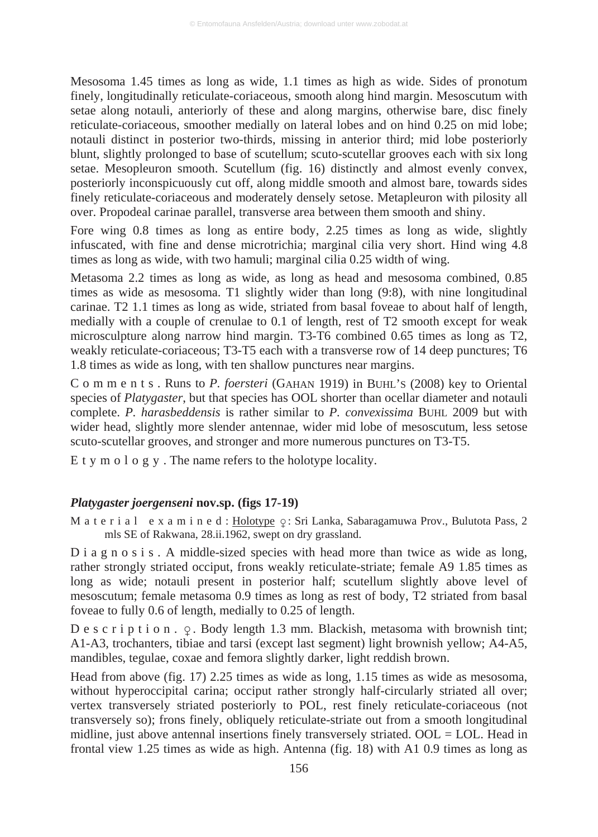Mesosoma 1.45 times as long as wide, 1.1 times as high as wide. Sides of pronotum finely, longitudinally reticulate-coriaceous, smooth along hind margin. Mesoscutum with setae along notauli, anteriorly of these and along margins, otherwise bare, disc finely reticulate-coriaceous, smoother medially on lateral lobes and on hind 0.25 on mid lobe; notauli distinct in posterior two-thirds, missing in anterior third; mid lobe posteriorly blunt, slightly prolonged to base of scutellum; scuto-scutellar grooves each with six long setae. Mesopleuron smooth. Scutellum (fig. 16) distinctly and almost evenly convex, posteriorly inconspicuously cut off, along middle smooth and almost bare, towards sides finely reticulate-coriaceous and moderately densely setose. Metapleuron with pilosity all over. Propodeal carinae parallel, transverse area between them smooth and shiny.

Fore wing 0.8 times as long as entire body, 2.25 times as long as wide, slightly infuscated, with fine and dense microtrichia; marginal cilia very short. Hind wing 4.8 times as long as wide, with two hamuli; marginal cilia 0.25 width of wing.

Metasoma 2.2 times as long as wide, as long as head and mesosoma combined, 0.85 times as wide as mesosoma. T1 slightly wider than long (9:8), with nine longitudinal carinae. T2 1.1 times as long as wide, striated from basal foveae to about half of length, medially with a couple of crenulae to 0.1 of length, rest of T2 smooth except for weak microsculpture along narrow hind margin. T3-T6 combined 0.65 times as long as T2, weakly reticulate-coriaceous; T3-T5 each with a transverse row of 14 deep punctures; T6 1.8 times as wide as long, with ten shallow punctures near margins.

C o m m e n t s . Runs to *P. foersteri* (GAHAN 1919) in BUHL'S (2008) key to Oriental species of *Platygaster*, but that species has OOL shorter than ocellar diameter and notauli complete. *P. harasbeddensis* is rather similar to *P. convexissima* BUHL 2009 but with wider head, slightly more slender antennae, wider mid lobe of mesoscutum, less setose scuto-scutellar grooves, and stronger and more numerous punctures on T3-T5.

E t y m o l o g y . The name refers to the holotype locality.

#### *Platygaster joergenseni* **nov.sp. (figs 17-19)**

M a t e r i a l e x a m i n e d : <u>Holotype</u>  $\varphi$ : Sri Lanka, Sabaragamuwa Prov., Bulutota Pass, 2 mls SE of Rakwana, 28.ii.1962, swept on dry grassland.

D i a g n o s i s. A middle-sized species with head more than twice as wide as long, rather strongly striated occiput, frons weakly reticulate-striate; female A9 1.85 times as long as wide; notauli present in posterior half; scutellum slightly above level of mesoscutum; female metasoma 0.9 times as long as rest of body, T2 striated from basal foveae to fully 0.6 of length, medially to 0.25 of length.

D e s c r i p t i o n .  $\varphi$ . Body length 1.3 mm. Blackish, metasoma with brownish tint; A1-A3, trochanters, tibiae and tarsi (except last segment) light brownish yellow; A4-A5, mandibles, tegulae, coxae and femora slightly darker, light reddish brown.

Head from above (fig. 17) 2.25 times as wide as long, 1.15 times as wide as mesosoma, without hyperoccipital carina; occiput rather strongly half-circularly striated all over; vertex transversely striated posteriorly to POL, rest finely reticulate-coriaceous (not transversely so); frons finely, obliquely reticulate-striate out from a smooth longitudinal midline, just above antennal insertions finely transversely striated. OOL = LOL. Head in frontal view 1.25 times as wide as high. Antenna (fig. 18) with A1 0.9 times as long as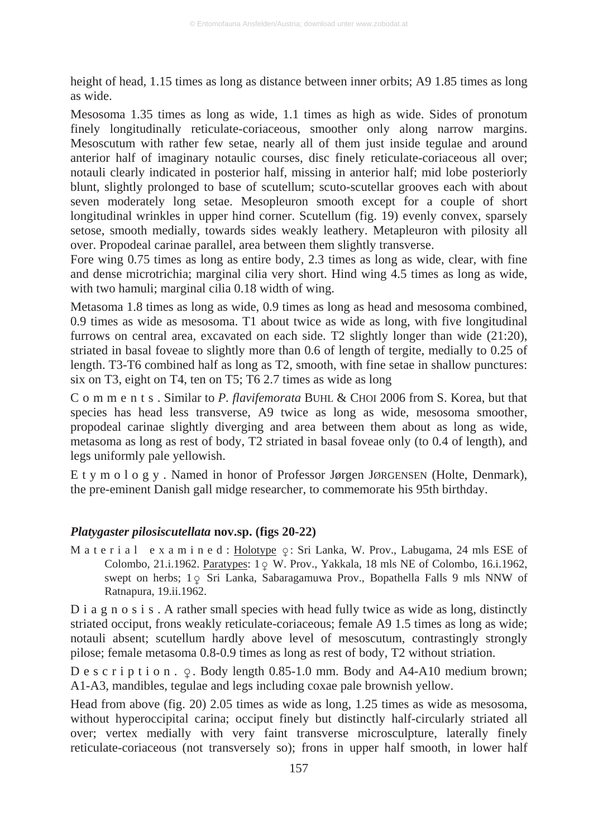height of head, 1.15 times as long as distance between inner orbits; A9 1.85 times as long as wide.

Mesosoma 1.35 times as long as wide, 1.1 times as high as wide. Sides of pronotum finely longitudinally reticulate-coriaceous, smoother only along narrow margins. Mesoscutum with rather few setae, nearly all of them just inside tegulae and around anterior half of imaginary notaulic courses, disc finely reticulate-coriaceous all over; notauli clearly indicated in posterior half, missing in anterior half; mid lobe posteriorly blunt, slightly prolonged to base of scutellum; scuto-scutellar grooves each with about seven moderately long setae. Mesopleuron smooth except for a couple of short longitudinal wrinkles in upper hind corner. Scutellum (fig. 19) evenly convex, sparsely setose, smooth medially, towards sides weakly leathery. Metapleuron with pilosity all over. Propodeal carinae parallel, area between them slightly transverse.

Fore wing 0.75 times as long as entire body, 2.3 times as long as wide, clear, with fine and dense microtrichia; marginal cilia very short. Hind wing 4.5 times as long as wide, with two hamuli; marginal cilia 0.18 width of wing.

Metasoma 1.8 times as long as wide, 0.9 times as long as head and mesosoma combined, 0.9 times as wide as mesosoma. T1 about twice as wide as long, with five longitudinal furrows on central area, excavated on each side. T2 slightly longer than wide (21:20), striated in basal foveae to slightly more than 0.6 of length of tergite, medially to 0.25 of length. T3-T6 combined half as long as T2, smooth, with fine setae in shallow punctures: six on T3, eight on T4, ten on T5; T6 2.7 times as wide as long

C o m m e n t s . Similar to *P. flavifemorata* BUHL & CHOI 2006 from S. Korea, but that species has head less transverse, A9 twice as long as wide, mesosoma smoother, propodeal carinae slightly diverging and area between them about as long as wide, metasoma as long as rest of body, T2 striated in basal foveae only (to 0.4 of length), and legs uniformly pale yellowish.

E t y m o l o g y . Named in honor of Professor Jørgen JØRGENSEN (Holte, Denmark), the pre-eminent Danish gall midge researcher, to commemorate his 95th birthday.

# *Platygaster pilosiscutellata* **nov.sp. (figs 20-22)**

M a t e r i a l e x a m i n e d : <u>Holotype</u>  $\varphi$  : Sri Lanka, W. Prov., Labugama, 24 mls ESE of Colombo, 21.i.1962. <u>Paratypes</u>: 1 <sub>9</sub> W. Prov., Yakkala, 18 mls NE of Colombo, 16.i.1962, swept on herbs; 1 p Sri Lanka, Sabaragamuwa Prov., Bopathella Falls 9 mls NNW of Ratnapura, 19.ii.1962.

D i a g n o s i s . A rather small species with head fully twice as wide as long, distinctly striated occiput, frons weakly reticulate-coriaceous; female A9 1.5 times as long as wide; notauli absent; scutellum hardly above level of mesoscutum, contrastingly strongly pilose; female metasoma 0.8-0.9 times as long as rest of body, T2 without striation.

D e s c r i p t i o n .  $\varphi$ . Body length 0.85-1.0 mm. Body and A4-A10 medium brown; A1-A3, mandibles, tegulae and legs including coxae pale brownish yellow.

Head from above (fig. 20) 2.05 times as wide as long, 1.25 times as wide as mesosoma, without hyperoccipital carina; occiput finely but distinctly half-circularly striated all over; vertex medially with very faint transverse microsculpture, laterally finely reticulate-coriaceous (not transversely so); frons in upper half smooth, in lower half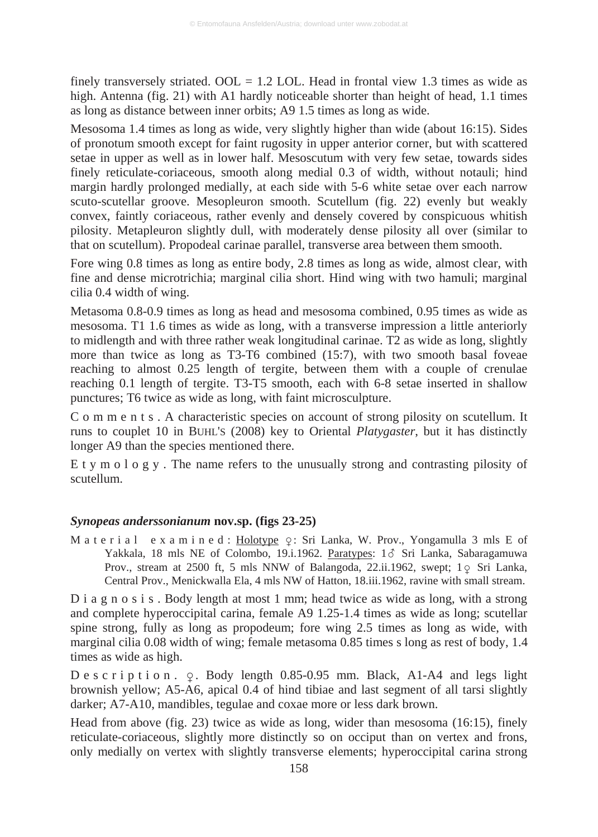finely transversely striated.  $OOL = 1.2$  LOL. Head in frontal view 1.3 times as wide as high. Antenna (fig. 21) with A1 hardly noticeable shorter than height of head, 1.1 times as long as distance between inner orbits; A9 1.5 times as long as wide.

Mesosoma 1.4 times as long as wide, very slightly higher than wide (about 16:15). Sides of pronotum smooth except for faint rugosity in upper anterior corner, but with scattered setae in upper as well as in lower half. Mesoscutum with very few setae, towards sides finely reticulate-coriaceous, smooth along medial 0.3 of width, without notauli; hind margin hardly prolonged medially, at each side with 5-6 white setae over each narrow scuto-scutellar groove. Mesopleuron smooth. Scutellum (fig. 22) evenly but weakly convex, faintly coriaceous, rather evenly and densely covered by conspicuous whitish pilosity. Metapleuron slightly dull, with moderately dense pilosity all over (similar to that on scutellum). Propodeal carinae parallel, transverse area between them smooth.

Fore wing 0.8 times as long as entire body, 2.8 times as long as wide, almost clear, with fine and dense microtrichia; marginal cilia short. Hind wing with two hamuli; marginal cilia 0.4 width of wing.

Metasoma 0.8-0.9 times as long as head and mesosoma combined, 0.95 times as wide as mesosoma. T1 1.6 times as wide as long, with a transverse impression a little anteriorly to midlength and with three rather weak longitudinal carinae. T2 as wide as long, slightly more than twice as long as T3-T6 combined (15:7), with two smooth basal foveae reaching to almost 0.25 length of tergite, between them with a couple of crenulae reaching 0.1 length of tergite. T3-T5 smooth, each with 6-8 setae inserted in shallow punctures; T6 twice as wide as long, with faint microsculpture.

C o m m e n t s . A characteristic species on account of strong pilosity on scutellum. It runs to couplet 10 in BUHL'S (2008) key to Oriental *Platygaster*, but it has distinctly longer A9 than the species mentioned there.

E t y m o l o g y . The name refers to the unusually strong and contrasting pilosity of scutellum.

#### *Synopeas anderssonianum* **nov.sp. (figs 23-25)**

M a t e r i a l  $\,$  e x a m i n e d : <u>Holotype</u>  $\,$   $\varphi$  : Sri Lanka, W. Prov., Yongamulla 3 mls E of Yakkala, 18 mls NE of Colombo, 19.i.1962. Paratypes: 18 Sri Lanka, Sabaragamuwa Prov., stream at 2500 ft, 5 mls NNW of Balangoda, 22.ii.1962, swept; 1 o Sri Lanka, Central Prov., Menickwalla Ela, 4 mls NW of Hatton, 18.iii.1962, ravine with small stream.

D i a g n o s i s . Body length at most 1 mm; head twice as wide as long, with a strong and complete hyperoccipital carina, female A9 1.25-1.4 times as wide as long; scutellar spine strong, fully as long as propodeum; fore wing 2.5 times as long as wide, with marginal cilia 0.08 width of wing; female metasoma 0.85 times s long as rest of body, 1.4 times as wide as high.

 $D e s c r i p t i o n.$   $Q.$  Body length 0.85-0.95 mm. Black, A1-A4 and legs light brownish yellow; A5-A6, apical 0.4 of hind tibiae and last segment of all tarsi slightly darker; A7-A10, mandibles, tegulae and coxae more or less dark brown.

Head from above (fig. 23) twice as wide as long, wider than mesosoma (16:15), finely reticulate-coriaceous, slightly more distinctly so on occiput than on vertex and frons, only medially on vertex with slightly transverse elements; hyperoccipital carina strong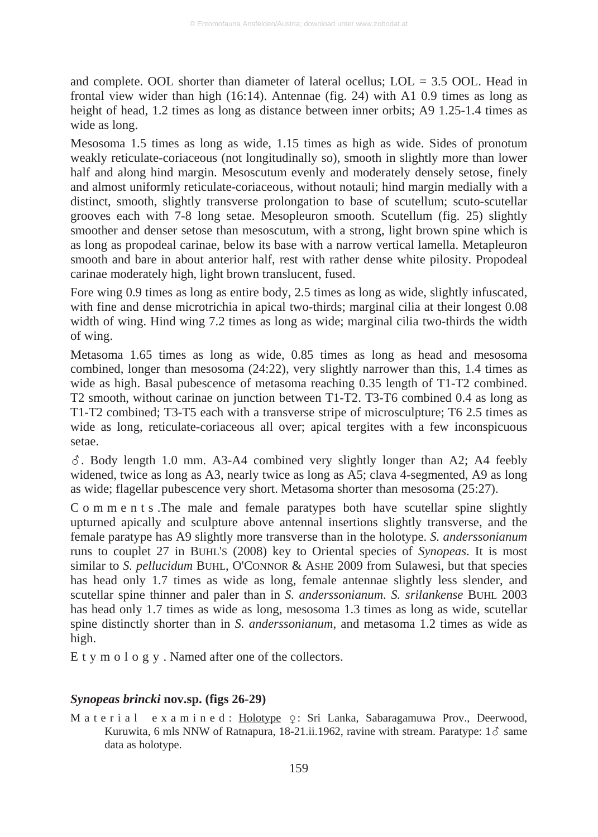and complete. OOL shorter than diameter of lateral ocellus;  $LOL = 3.5$  OOL. Head in frontal view wider than high (16:14). Antennae (fig. 24) with A1 0.9 times as long as height of head, 1.2 times as long as distance between inner orbits; A9 1.25-1.4 times as wide as long.

Mesosoma 1.5 times as long as wide, 1.15 times as high as wide. Sides of pronotum weakly reticulate-coriaceous (not longitudinally so), smooth in slightly more than lower half and along hind margin. Mesoscutum evenly and moderately densely setose, finely and almost uniformly reticulate-coriaceous, without notauli; hind margin medially with a distinct, smooth, slightly transverse prolongation to base of scutellum; scuto-scutellar grooves each with 7-8 long setae. Mesopleuron smooth. Scutellum (fig. 25) slightly smoother and denser setose than mesoscutum, with a strong, light brown spine which is as long as propodeal carinae, below its base with a narrow vertical lamella. Metapleuron smooth and bare in about anterior half, rest with rather dense white pilosity. Propodeal carinae moderately high, light brown translucent, fused.

Fore wing 0.9 times as long as entire body, 2.5 times as long as wide, slightly infuscated, with fine and dense microtrichia in apical two-thirds; marginal cilia at their longest 0.08 width of wing. Hind wing 7.2 times as long as wide; marginal cilia two-thirds the width of wing.

Metasoma 1.65 times as long as wide, 0.85 times as long as head and mesosoma combined, longer than mesosoma (24:22), very slightly narrower than this, 1.4 times as wide as high. Basal pubescence of metasoma reaching 0.35 length of T1-T2 combined. T2 smooth, without carinae on junction between T1-T2. T3-T6 combined 0.4 as long as T1-T2 combined; T3-T5 each with a transverse stripe of microsculpture; T6 2.5 times as wide as long, reticulate-coriaceous all over; apical tergites with a few inconspicuous setae.

 $\delta$ . Body length 1.0 mm. A3-A4 combined very slightly longer than A2; A4 feebly widened, twice as long as A3, nearly twice as long as A5; clava 4-segmented, A9 as long as wide; flagellar pubescence very short. Metasoma shorter than mesosoma (25:27).

C o m m e n t s .The male and female paratypes both have scutellar spine slightly upturned apically and sculpture above antennal insertions slightly transverse, and the female paratype has A9 slightly more transverse than in the holotype. *S. anderssonianum* runs to couplet 27 in BUHL'S (2008) key to Oriental species of *Synopeas*. It is most similar to *S. pellucidum* BUHL, O'CONNOR & ASHE 2009 from Sulawesi, but that species has head only 1.7 times as wide as long, female antennae slightly less slender, and scutellar spine thinner and paler than in *S. anderssonianum*. *S. srilankense* BUHL 2003 has head only 1.7 times as wide as long, mesosoma 1.3 times as long as wide, scutellar spine distinctly shorter than in *S. anderssonianum*, and metasoma 1.2 times as wide as high.

E t y m o l o g y . Named after one of the collectors.

# *Synopeas brincki* **nov.sp. (figs 26-29)**

M a t e r i a l e x a m i n e d : <u>Holotype</u> ç: Sri Lanka, Sabaragamuwa Prov., Deerwood, Kuruwita, 6 mls NNW of Ratnapura, 18-21.ii.1962, ravine with stream. Paratype:  $1\delta$  same data as holotype.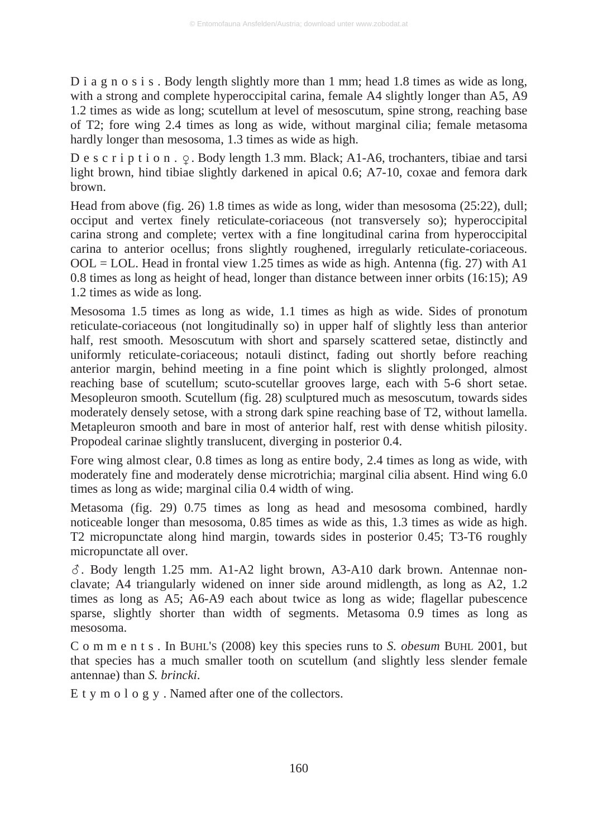D i a g n o s i s. Body length slightly more than 1 mm; head 1.8 times as wide as long, with a strong and complete hyperoccipital carina, female A4 slightly longer than A5, A9 1.2 times as wide as long; scutellum at level of mesoscutum, spine strong, reaching base of T2; fore wing 2.4 times as long as wide, without marginal cilia; female metasoma hardly longer than mesosoma, 1.3 times as wide as high.

D e s c r i p t i o n .  $\varphi$ . Body length 1.3 mm. Black; A1-A6, trochanters, tibiae and tarsi light brown, hind tibiae slightly darkened in apical 0.6; A7-10, coxae and femora dark brown.

Head from above (fig. 26) 1.8 times as wide as long, wider than mesosoma (25:22), dull; occiput and vertex finely reticulate-coriaceous (not transversely so); hyperoccipital carina strong and complete; vertex with a fine longitudinal carina from hyperoccipital carina to anterior ocellus; frons slightly roughened, irregularly reticulate-coriaceous.  $OOL = LOL$ . Head in frontal view 1.25 times as wide as high. Antenna (fig. 27) with A1 0.8 times as long as height of head, longer than distance between inner orbits (16:15); A9 1.2 times as wide as long.

Mesosoma 1.5 times as long as wide, 1.1 times as high as wide. Sides of pronotum reticulate-coriaceous (not longitudinally so) in upper half of slightly less than anterior half, rest smooth. Mesoscutum with short and sparsely scattered setae, distinctly and uniformly reticulate-coriaceous; notauli distinct, fading out shortly before reaching anterior margin, behind meeting in a fine point which is slightly prolonged, almost reaching base of scutellum; scuto-scutellar grooves large, each with 5-6 short setae. Mesopleuron smooth. Scutellum (fig. 28) sculptured much as mesoscutum, towards sides moderately densely setose, with a strong dark spine reaching base of T2, without lamella. Metapleuron smooth and bare in most of anterior half, rest with dense whitish pilosity. Propodeal carinae slightly translucent, diverging in posterior 0.4.

Fore wing almost clear, 0.8 times as long as entire body, 2.4 times as long as wide, with moderately fine and moderately dense microtrichia; marginal cilia absent. Hind wing 6.0 times as long as wide; marginal cilia 0.4 width of wing.

Metasoma (fig. 29) 0.75 times as long as head and mesosoma combined, hardly noticeable longer than mesosoma, 0.85 times as wide as this, 1.3 times as wide as high. T2 micropunctate along hind margin, towards sides in posterior 0.45; T3-T6 roughly micropunctate all over.

. Body length 1.25 mm. A1-A2 light brown, A3-A10 dark brown. Antennae nonclavate; A4 triangularly widened on inner side around midlength, as long as A2, 1.2 times as long as A5; A6-A9 each about twice as long as wide; flagellar pubescence sparse, slightly shorter than width of segments. Metasoma 0.9 times as long as mesosoma.

C o m m e n t s . In BUHL'S (2008) key this species runs to *S. obesum* BUHL 2001, but that species has a much smaller tooth on scutellum (and slightly less slender female antennae) than *S. brincki*.

E t y m o l o g y . Named after one of the collectors.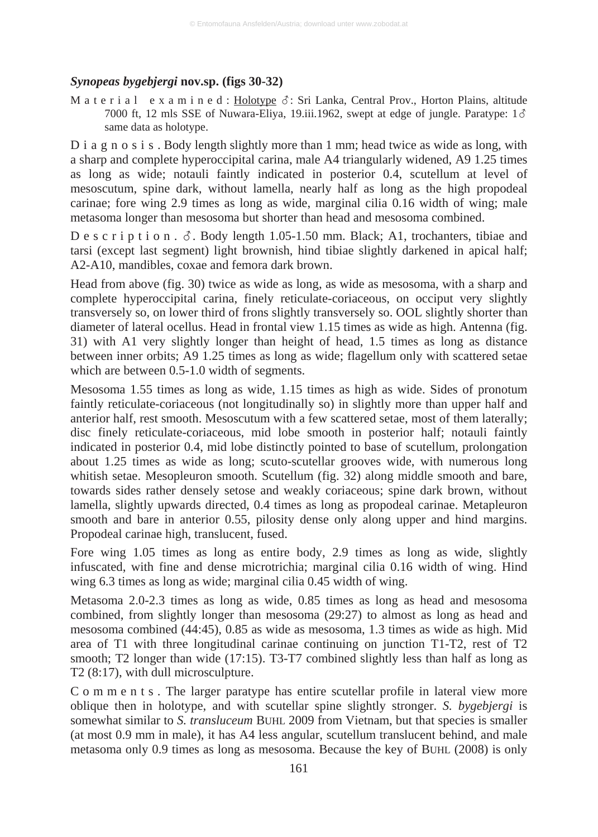# *Synopeas bygebjergi* **nov.sp. (figs 30-32)**

M a t e r i a l e x a m i n e d : Holotype  $\delta$ : Sri Lanka, Central Prov., Horton Plains, altitude 7000 ft, 12 mls SSE of Nuwara-Eliya, 19.iii.1962, swept at edge of jungle. Paratype:  $1\delta$ same data as holotype.

D i a g n o s i s. Body length slightly more than 1 mm; head twice as wide as long, with a sharp and complete hyperoccipital carina, male A4 triangularly widened, A9 1.25 times as long as wide; notauli faintly indicated in posterior 0.4, scutellum at level of mesoscutum, spine dark, without lamella, nearly half as long as the high propodeal carinae; fore wing 2.9 times as long as wide, marginal cilia 0.16 width of wing; male metasoma longer than mesosoma but shorter than head and mesosoma combined.

D e s c r i p t i o n .  $\delta$ . Body length 1.05-1.50 mm. Black; A1, trochanters, tibiae and tarsi (except last segment) light brownish, hind tibiae slightly darkened in apical half; A2-A10, mandibles, coxae and femora dark brown.

Head from above (fig. 30) twice as wide as long, as wide as mesosoma, with a sharp and complete hyperoccipital carina, finely reticulate-coriaceous, on occiput very slightly transversely so, on lower third of frons slightly transversely so. OOL slightly shorter than diameter of lateral ocellus. Head in frontal view 1.15 times as wide as high. Antenna (fig. 31) with A1 very slightly longer than height of head, 1.5 times as long as distance between inner orbits; A9 1.25 times as long as wide; flagellum only with scattered setae which are between  $0.5-1.0$  width of segments.

Mesosoma 1.55 times as long as wide, 1.15 times as high as wide. Sides of pronotum faintly reticulate-coriaceous (not longitudinally so) in slightly more than upper half and anterior half, rest smooth. Mesoscutum with a few scattered setae, most of them laterally; disc finely reticulate-coriaceous, mid lobe smooth in posterior half; notauli faintly indicated in posterior 0.4, mid lobe distinctly pointed to base of scutellum, prolongation about 1.25 times as wide as long; scuto-scutellar grooves wide, with numerous long whitish setae. Mesopleuron smooth. Scutellum (fig. 32) along middle smooth and bare, towards sides rather densely setose and weakly coriaceous; spine dark brown, without lamella, slightly upwards directed, 0.4 times as long as propodeal carinae. Metapleuron smooth and bare in anterior 0.55, pilosity dense only along upper and hind margins. Propodeal carinae high, translucent, fused.

Fore wing 1.05 times as long as entire body, 2.9 times as long as wide, slightly infuscated, with fine and dense microtrichia; marginal cilia 0.16 width of wing. Hind wing 6.3 times as long as wide; marginal cilia 0.45 width of wing.

Metasoma 2.0-2.3 times as long as wide, 0.85 times as long as head and mesosoma combined, from slightly longer than mesosoma (29:27) to almost as long as head and mesosoma combined (44:45), 0.85 as wide as mesosoma, 1.3 times as wide as high. Mid area of T1 with three longitudinal carinae continuing on junction T1-T2, rest of T2 smooth; T2 longer than wide (17:15). T3-T7 combined slightly less than half as long as T2 (8:17), with dull microsculpture.

C o m m e n t s . The larger paratype has entire scutellar profile in lateral view more oblique then in holotype, and with scutellar spine slightly stronger. *S. bygebjergi* is somewhat similar to *S. transluceum* BUHL 2009 from Vietnam, but that species is smaller (at most 0.9 mm in male), it has A4 less angular, scutellum translucent behind, and male metasoma only 0.9 times as long as mesosoma. Because the key of BUHL (2008) is only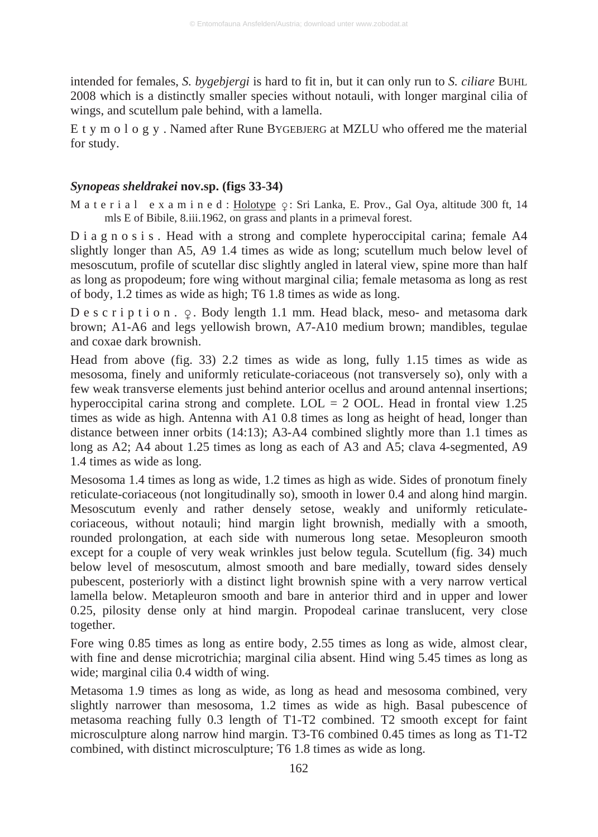intended for females, *S. bygebjergi* is hard to fit in, but it can only run to *S. ciliare* BUHL 2008 which is a distinctly smaller species without notauli, with longer marginal cilia of wings, and scutellum pale behind, with a lamella.

E t y m o l o g y . Named after Rune BYGEBJERG at MZLU who offered me the material for study.

# *Synopeas sheldrakei* **nov.sp. (figs 33-34)**

M a t e r i a l  $\,$  e x a m i n e d : <u>Holotype</u>  $\varphi$ : Sri Lanka, E. Prov., Gal Oya, altitude 300 ft, 14 mls E of Bibile, 8.iii.1962, on grass and plants in a primeval forest.

D i a g n o s i s. Head with a strong and complete hyperoccipital carina; female A4 slightly longer than A5, A9 1.4 times as wide as long; scutellum much below level of mesoscutum, profile of scutellar disc slightly angled in lateral view, spine more than half as long as propodeum; fore wing without marginal cilia; female metasoma as long as rest of body, 1.2 times as wide as high; T6 1.8 times as wide as long.

 $D e s c r i p t i o n.  $\varphi$ . Body length 1.1 mm. Head black, meso- and metasoma dark$ brown; A1-A6 and legs yellowish brown, A7-A10 medium brown; mandibles, tegulae and coxae dark brownish.

Head from above (fig. 33) 2.2 times as wide as long, fully 1.15 times as wide as mesosoma, finely and uniformly reticulate-coriaceous (not transversely so), only with a few weak transverse elements just behind anterior ocellus and around antennal insertions; hyperoccipital carina strong and complete.  $LOL = 2$  OOL. Head in frontal view 1.25 times as wide as high. Antenna with A1 0.8 times as long as height of head, longer than distance between inner orbits (14:13); A3-A4 combined slightly more than 1.1 times as long as A2; A4 about 1.25 times as long as each of A3 and A5; clava 4-segmented, A9 1.4 times as wide as long.

Mesosoma 1.4 times as long as wide, 1.2 times as high as wide. Sides of pronotum finely reticulate-coriaceous (not longitudinally so), smooth in lower 0.4 and along hind margin. Mesoscutum evenly and rather densely setose, weakly and uniformly reticulatecoriaceous, without notauli; hind margin light brownish, medially with a smooth, rounded prolongation, at each side with numerous long setae. Mesopleuron smooth except for a couple of very weak wrinkles just below tegula. Scutellum (fig. 34) much below level of mesoscutum, almost smooth and bare medially, toward sides densely pubescent, posteriorly with a distinct light brownish spine with a very narrow vertical lamella below. Metapleuron smooth and bare in anterior third and in upper and lower 0.25, pilosity dense only at hind margin. Propodeal carinae translucent, very close together.

Fore wing 0.85 times as long as entire body, 2.55 times as long as wide, almost clear, with fine and dense microtrichia; marginal cilia absent. Hind wing 5.45 times as long as wide; marginal cilia 0.4 width of wing.

Metasoma 1.9 times as long as wide, as long as head and mesosoma combined, very slightly narrower than mesosoma, 1.2 times as wide as high. Basal pubescence of metasoma reaching fully 0.3 length of T1-T2 combined. T2 smooth except for faint microsculpture along narrow hind margin. T3-T6 combined 0.45 times as long as T1-T2 combined, with distinct microsculpture; T6 1.8 times as wide as long.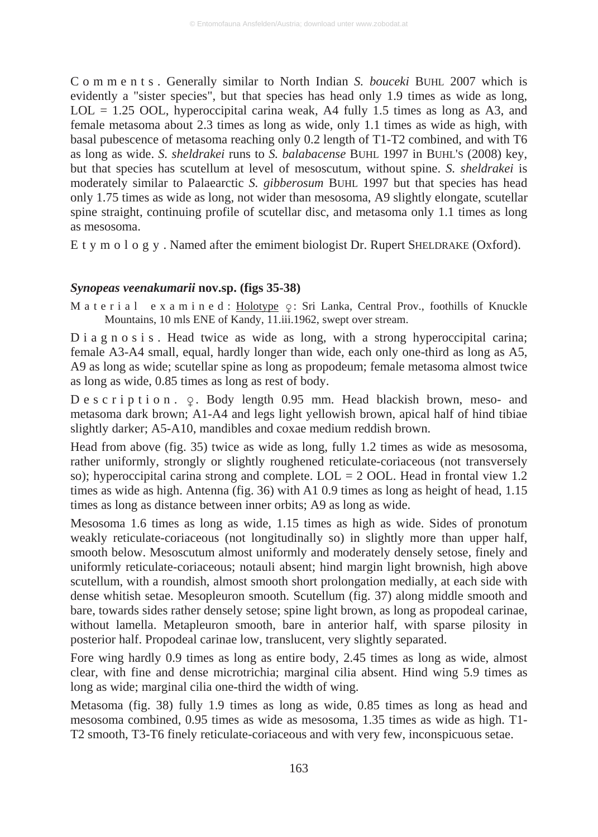C o m m e n t s . Generally similar to North Indian *S. bouceki* BUHL 2007 which is evidently a "sister species", but that species has head only 1.9 times as wide as long,  $LOL = 1.25 \text{ OOL}$ , hyperoccipital carina weak, A4 fully 1.5 times as long as A3, and female metasoma about 2.3 times as long as wide, only 1.1 times as wide as high, with basal pubescence of metasoma reaching only 0.2 length of T1-T2 combined, and with T6 as long as wide. *S. sheldrakei* runs to *S. balabacense* BUHL 1997 in BUHL'S (2008) key, but that species has scutellum at level of mesoscutum, without spine. *S. sheldrakei* is moderately similar to Palaearctic *S. gibberosum* BUHL 1997 but that species has head only 1.75 times as wide as long, not wider than mesosoma, A9 slightly elongate, scutellar spine straight, continuing profile of scutellar disc, and metasoma only 1.1 times as long as mesosoma.

E t y m o l o g y . Named after the emiment biologist Dr. Rupert SHELDRAKE (Oxford).

## *Synopeas veenakumarii* **nov.sp. (figs 35-38)**

M a t e r i a l e x a m i n e d : <u>Holotype</u>  $\varphi$ : Sri Lanka, Central Prov., foothills of Knuckle Mountains, 10 mls ENE of Kandy, 11.iii.1962, swept over stream.

 $D$  i a g n o s i s. Head twice as wide as long, with a strong hyperoccipital carina; female A3-A4 small, equal, hardly longer than wide, each only one-third as long as A5, A9 as long as wide; scutellar spine as long as propodeum; female metasoma almost twice as long as wide, 0.85 times as long as rest of body.

 $D e s c r i p t i o n.$   $Q.$  Body length 0.95 mm. Head blackish brown, meso- and metasoma dark brown; A1-A4 and legs light yellowish brown, apical half of hind tibiae slightly darker; A5-A10, mandibles and coxae medium reddish brown.

Head from above (fig. 35) twice as wide as long, fully 1.2 times as wide as mesosoma, rather uniformly, strongly or slightly roughened reticulate-coriaceous (not transversely so); hyperoccipital carina strong and complete. LOL = 2 OOL. Head in frontal view 1.2 times as wide as high. Antenna (fig. 36) with A1 0.9 times as long as height of head, 1.15 times as long as distance between inner orbits; A9 as long as wide.

Mesosoma 1.6 times as long as wide, 1.15 times as high as wide. Sides of pronotum weakly reticulate-coriaceous (not longitudinally so) in slightly more than upper half, smooth below. Mesoscutum almost uniformly and moderately densely setose, finely and uniformly reticulate-coriaceous; notauli absent; hind margin light brownish, high above scutellum, with a roundish, almost smooth short prolongation medially, at each side with dense whitish setae. Mesopleuron smooth. Scutellum (fig. 37) along middle smooth and bare, towards sides rather densely setose; spine light brown, as long as propodeal carinae, without lamella. Metapleuron smooth, bare in anterior half, with sparse pilosity in posterior half. Propodeal carinae low, translucent, very slightly separated.

Fore wing hardly 0.9 times as long as entire body, 2.45 times as long as wide, almost clear, with fine and dense microtrichia; marginal cilia absent. Hind wing 5.9 times as long as wide; marginal cilia one-third the width of wing.

Metasoma (fig. 38) fully 1.9 times as long as wide, 0.85 times as long as head and mesosoma combined, 0.95 times as wide as mesosoma, 1.35 times as wide as high. T1- T2 smooth, T3-T6 finely reticulate-coriaceous and with very few, inconspicuous setae.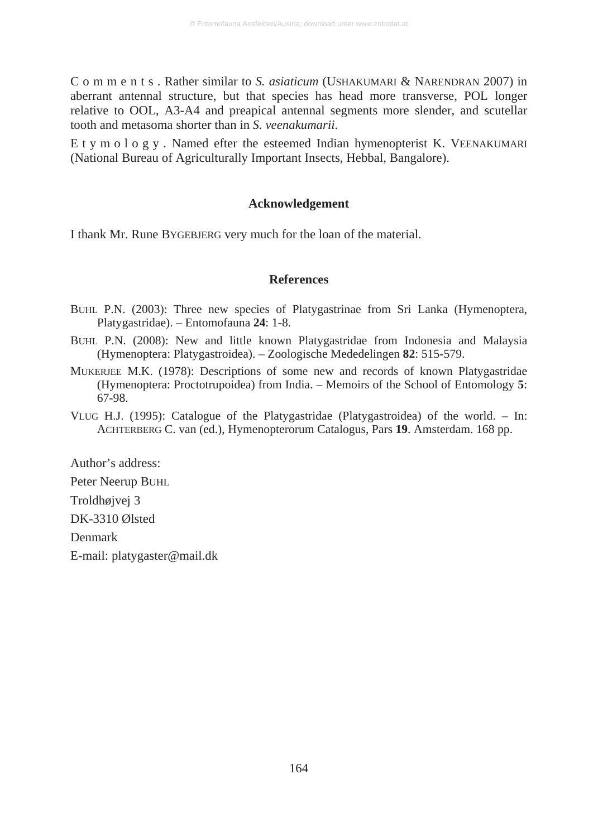C o m m e n t s . Rather similar to *S. asiaticum* (USHAKUMARI & NARENDRAN 2007) in aberrant antennal structure, but that species has head more transverse, POL longer relative to OOL, A3-A4 and preapical antennal segments more slender, and scutellar tooth and metasoma shorter than in *S. veenakumarii*.

E t y m o l o g y . Named efter the esteemed Indian hymenopterist K. VEENAKUMARI (National Bureau of Agriculturally Important Insects, Hebbal, Bangalore).

## **Acknowledgement**

I thank Mr. Rune BYGEBJERG very much for the loan of the material.

#### **References**

- BUHL P.N. (2003): Three new species of Platygastrinae from Sri Lanka (Hymenoptera, Platygastridae). – Entomofauna **24**: 1-8.
- BUHL P.N. (2008): New and little known Platygastridae from Indonesia and Malaysia (Hymenoptera: Platygastroidea). – Zoologische Mededelingen **82**: 515-579.
- MUKERJEE M.K. (1978): Descriptions of some new and records of known Platygastridae (Hymenoptera: Proctotrupoidea) from India. – Memoirs of the School of Entomology **5**: 67-98.
- VLUG H.J. (1995): Catalogue of the Platygastridae (Platygastroidea) of the world. In: ACHTERBERG C. van (ed.), Hymenopterorum Catalogus, Pars **19**. Amsterdam. 168 pp.

Author's address:

Peter Neerup BUHL

Troldhøjvej 3

DK-3310 Ølsted

Denmark

E-mail: platygaster@mail.dk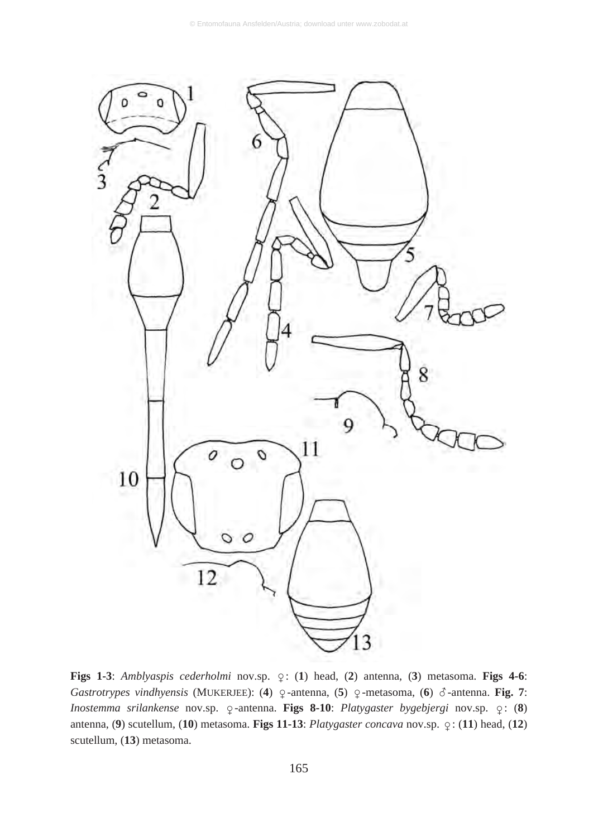

**Figs 1-3**: *Amblyaspis cederholmi* nov.sp.  $\varphi$ : (1) head, (2) antenna, (3) metasoma. **Figs 4-6**: Gastrotrypes vindhyensis (MUKERJEE): (4)  $\varphi$ -antenna, (5)  $\varphi$ -metasoma, (6)  $\varphi$ -antenna. **Fig. 7**: Inostemma srilankense nov.sp.  $\varphi$ -antenna. **Figs 8-10**: *Platygaster bygebjergi* nov.sp.  $\varphi$ : (**8**) antenna, (9) scutellum, (10) metasoma. **Figs 11-13**: *Platygaster concava* nov.sp.  $\varphi$ : (11) head, (12) scutellum, (**13**) metasoma.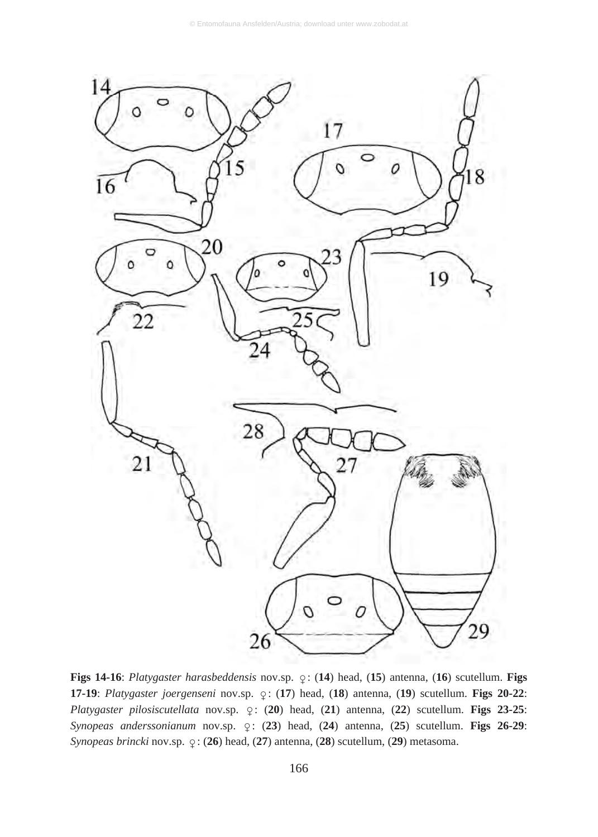

**Figs 14-16**: *Platygaster harasbeddensis* nov.sp.  $\varphi$ : (14) head, (15) antenna, (16) scutellum. **Figs 17-19**: *Platygaster joergenseni* nov.sp.  $\varphi$ : (17) head, (18) antenna, (19) scutellum. **Figs 20-22**: *Platygaster pilosiscutellata* nov.sp.  $\varphi$ : (20) head, (21) antenna, (22) scutellum. **Figs 23-25**: Synopeas anderssonianum nov.sp.  $\varphi$ : (23) head, (24) antenna, (25) scutellum. **Figs 26-29**: *Synopeas brincki* nov.sp.  $\varphi$ : (26) head, (27) antenna, (28) scutellum, (29) metasoma.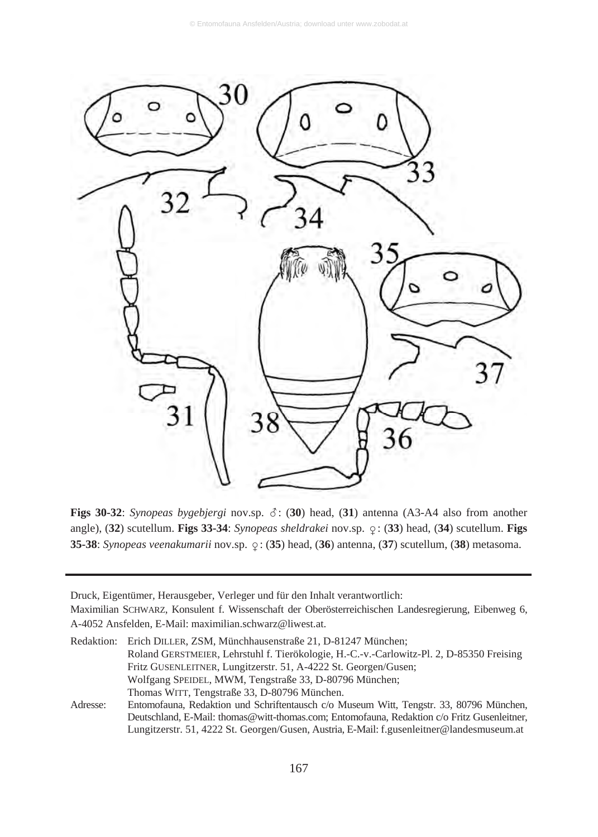

**Figs 30-32**: *Synopeas bygebjergi* nov.sp.  $\delta$ : (30) head, (31) antenna (A3-A4 also from another angle), (32) scutellum. Figs 33-34: *Synopeas sheldrakei* nov.sp.  $\varphi$ : (33) head, (34) scutellum. Figs **35-38**: *Synopeas veenakumarii* nov.sp.  $\varphi$ : (**35**) head, (**36**) antenna, (**37**) scutellum, (**38**) metasoma.

Druck, Eigentümer, Herausgeber, Verleger und für den Inhalt verantwortlich:

Maximilian SCHWARZ, Konsulent f. Wissenschaft der Oberösterreichischen Landesregierung, Eibenweg 6, A-4052 Ansfelden, E-Mail: maximilian.schwarz@liwest.at.

Redaktion: Erich DILLER, ZSM, Münchhausenstraße 21, D-81247 München; Roland GERSTMEIER, Lehrstuhl f. Tierökologie, H.-C.-v.-Carlowitz-Pl. 2, D-85350 Freising Fritz GUSENLEITNER, Lungitzerstr. 51, A-4222 St. Georgen/Gusen; Wolfgang SPEIDEL, MWM, Tengstraße 33, D-80796 München; Thomas WITT, Tengstraße 33, D-80796 München. Adresse: Entomofauna, Redaktion und Schriftentausch c/o Museum Witt, Tengstr. 33, 80796 München,

Deutschland, E-Mail: thomas@witt-thomas.com; Entomofauna, Redaktion c/o Fritz Gusenleitner, Lungitzerstr. 51, 4222 St. Georgen/Gusen, Austria, E-Mail: f.gusenleitner@landesmuseum.at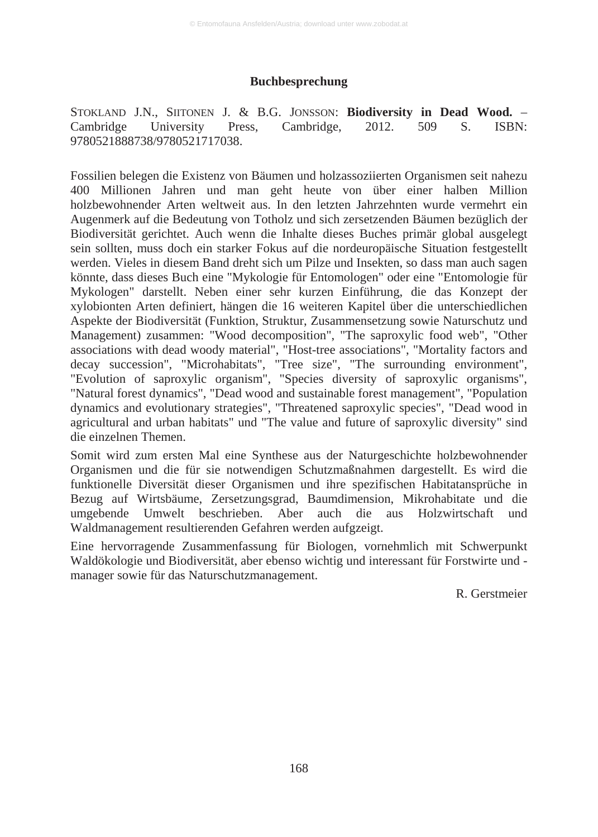#### **Buchbesprechung**

STOKLAND J.N., SIITONEN J. & B.G. JONSSON: **Biodiversity in Dead Wood.** – Cambridge University Press, Cambridge, 2012. 509 S. ISBN: 9780521888738/9780521717038.

Fossilien belegen die Existenz von Bäumen und holzassoziierten Organismen seit nahezu 400 Millionen Jahren und man geht heute von über einer halben Million holzbewohnender Arten weltweit aus. In den letzten Jahrzehnten wurde vermehrt ein Augenmerk auf die Bedeutung von Totholz und sich zersetzenden Bäumen bezüglich der Biodiversität gerichtet. Auch wenn die Inhalte dieses Buches primär global ausgelegt sein sollten, muss doch ein starker Fokus auf die nordeuropäische Situation festgestellt werden. Vieles in diesem Band dreht sich um Pilze und Insekten, so dass man auch sagen könnte, dass dieses Buch eine "Mykologie für Entomologen" oder eine "Entomologie für Mykologen" darstellt. Neben einer sehr kurzen Einführung, die das Konzept der xylobionten Arten definiert, hängen die 16 weiteren Kapitel über die unterschiedlichen Aspekte der Biodiversität (Funktion, Struktur, Zusammensetzung sowie Naturschutz und Management) zusammen: "Wood decomposition", "The saproxylic food web", "Other associations with dead woody material", "Host-tree associations", "Mortality factors and decay succession", "Microhabitats", "Tree size", "The surrounding environment", "Evolution of saproxylic organism", "Species diversity of saproxylic organisms", "Natural forest dynamics", "Dead wood and sustainable forest management", "Population dynamics and evolutionary strategies", "Threatened saproxylic species", "Dead wood in agricultural and urban habitats" und "The value and future of saproxylic diversity" sind die einzelnen Themen.

Somit wird zum ersten Mal eine Synthese aus der Naturgeschichte holzbewohnender Organismen und die für sie notwendigen Schutzmaßnahmen dargestellt. Es wird die funktionelle Diversität dieser Organismen und ihre spezifischen Habitatansprüche in Bezug auf Wirtsbäume, Zersetzungsgrad, Baumdimension, Mikrohabitate und die umgebende Umwelt beschrieben. Aber auch die aus Holzwirtschaft und Waldmanagement resultierenden Gefahren werden aufgzeigt.

Eine hervorragende Zusammenfassung für Biologen, vornehmlich mit Schwerpunkt Waldökologie und Biodiversität, aber ebenso wichtig und interessant für Forstwirte und manager sowie für das Naturschutzmanagement.

R. Gerstmeier